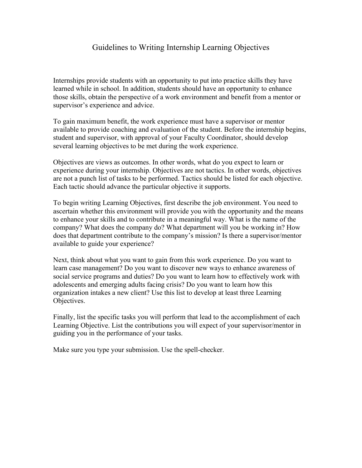## Guidelines to Writing Internship Learning Objectives

Internships provide students with an opportunity to put into practice skills they have learned while in school. In addition, students should have an opportunity to enhance those skills, obtain the perspective of a work environment and benefit from a mentor or supervisor's experience and advice.

To gain maximum benefit, the work experience must have a supervisor or mentor available to provide coaching and evaluation of the student. Before the internship begins, student and supervisor, with approval of your Faculty Coordinator, should develop several learning objectives to be met during the work experience.

Objectives are views as outcomes. In other words, what do you expect to learn or experience during your internship. Objectives are not tactics. In other words, objectives are not a punch list of tasks to be performed. Tactics should be listed for each objective. Each tactic should advance the particular objective it supports.

To begin writing Learning Objectives, first describe the job environment. You need to ascertain whether this environment will provide you with the opportunity and the means to enhance your skills and to contribute in a meaningful way. What is the name of the company? What does the company do? What department will you be working in? How does that department contribute to the company's mission? Is there a supervisor/mentor available to guide your experience?

Next, think about what you want to gain from this work experience. Do you want to learn case management? Do you want to discover new ways to enhance awareness of social service programs and duties? Do you want to learn how to effectively work with adolescents and emerging adults facing crisis? Do you want to learn how this organization intakes a new client? Use this list to develop at least three Learning Objectives.

Finally, list the specific tasks you will perform that lead to the accomplishment of each Learning Objective. List the contributions you will expect of your supervisor/mentor in guiding you in the performance of your tasks.

Make sure you type your submission. Use the spell-checker.